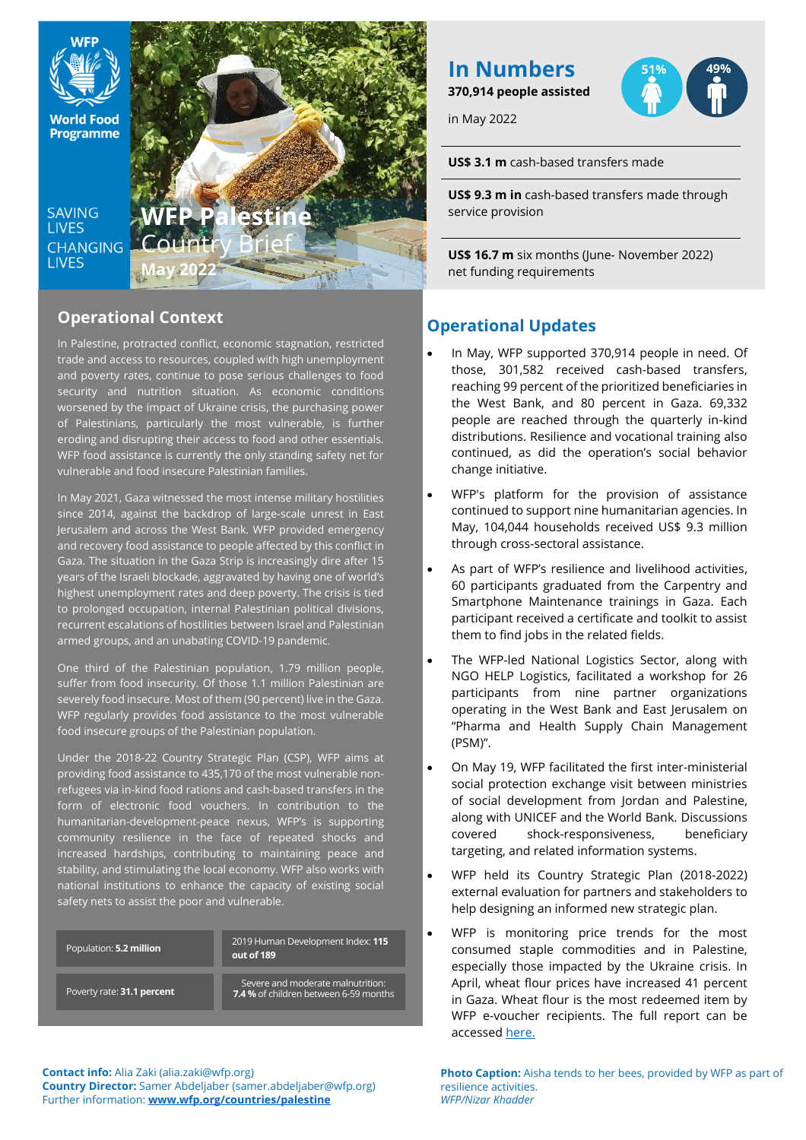

**SAVING LIVES CHANGING LIVES** 



# **Operational Context**

In Palestine, protracted conflict, economic stagnation, restricted trade and access to resources, coupled with high unemployment and poverty rates, continue to pose serious challenges to food security and nutrition situation. As economic conditions worsened by the impact of Ukraine crisis, the purchasing power of Palestinians, particularly the most vulnerable, is further eroding and disrupting their access to food and other essentials. WFP food assistance is currently the only standing safety net for vulnerable and food insecure Palestinian families.

In May 2021, Gaza witnessed the most intense military hostilities since 2014, against the backdrop of large-scale unrest in East Jerusalem and across the West Bank. WFP provided emergency and recovery food assistance to people affected by this conflict in Gaza. The situation in the Gaza Strip is increasingly dire after 15 years of the Israeli blockade, aggravated by having one of world's highest unemployment rates and deep poverty. The crisis is tied to prolonged occupation, internal Palestinian political divisions, recurrent escalations of hostilities between Israel and Palestinian armed groups, and an unabating COVID-19 pandemic.

One third of the Palestinian population, 1.79 million people, suffer from food insecurity. Of those 1.1 million Palestinian are severely food insecure. Most of them (90 percent) live in the Gaza. WFP regularly provides food assistance to the most vulnerable food insecure groups of the Palestinian population.

Under the 2018-22 Country Strategic Plan (CSP), WFP aims at providing food assistance to 435,170 of the most vulnerable nonrefugees via in-kind food rations and cash-based transfers in the form of electronic food vouchers. In contribution to the humanitarian-development-peace nexus, WFP's is supporting community resilience in the face of repeated shocks and increased hardships, contributing to maintaining peace and stability, and stimulating the local economy. WFP also works with national institutions to enhance the capacity of existing social safety nets to assist the poor and vulnerable.

| Population: 5.2 million    | 2019 Human Development Index: 115<br>out of 189                                   |
|----------------------------|-----------------------------------------------------------------------------------|
| Poverty rate: 31.1 percent | Severe and moderate malnutrition:<br><b>7.4 %</b> of children between 6-59 months |

# **In Numbers**

**370,914 people assisted**

in May 2022



**US\$ 3.1 m** cash-based transfers made

**US\$ 9.3 m in** cash-based transfers made through service provision

**US\$ 16.7 m** six months (June- November 2022) net funding requirements

# **Operational Updates**

- In May, WFP supported 370,914 people in need. Of those, 301,582 received cash-based transfers, reaching 99 percent of the prioritized beneficiaries in the West Bank, and 80 percent in Gaza. 69,332 people are reached through the quarterly in-kind distributions. Resilience and vocational training also continued, as did the operation's social behavior change initiative.
- WFP's platform for the provision of assistance continued to support nine humanitarian agencies. In May, 104,044 households received US\$ 9.3 million through cross-sectoral assistance.
- As part of WFP's resilience and livelihood activities, 60 participants graduated from the Carpentry and Smartphone Maintenance trainings in Gaza. Each participant received a certificate and toolkit to assist them to find jobs in the related fields.
- The WFP-led National Logistics Sector, along with NGO HELP Logistics, facilitated a workshop for 26 participants from nine partner organizations operating in the West Bank and East Jerusalem on "Pharma and Health Supply Chain Management (PSM)".
- On May 19, WFP facilitated the first inter-ministerial social protection exchange visit between ministries of social development from Jordan and Palestine, along with UNICEF and the World Bank. Discussions covered shock-responsiveness, beneficiary targeting, and related information systems.
- WFP held its Country Strategic Plan (2018-2022) external evaluation for partners and stakeholders to help designing an informed new strategic plan.
- WFP is monitoring price trends for the most consumed staple commodities and in Palestine, especially those impacted by the Ukraine crisis. In April, wheat flour prices have increased 41 percent in Gaza. Wheat flour is the most redeemed item by WFP e-voucher recipients. The full report can be accesse[d here.](https://www.wfp.org/publications/wfp-palestine-monthly-market-dashboard)

**Contact info:** Alia Zaki (alia.zaki@wfp.org) **Country Director:** Samer Abdeljaber (samer.abdeljaber@wfp.org) Further information: **[www.wfp.org/countries/palestine](http://www.wfp.org/countries/palestine)**

**Photo Caption:** Aisha tends to her bees, provided by WFP as part of resilience activities. *WFP/Nizar Khadder*